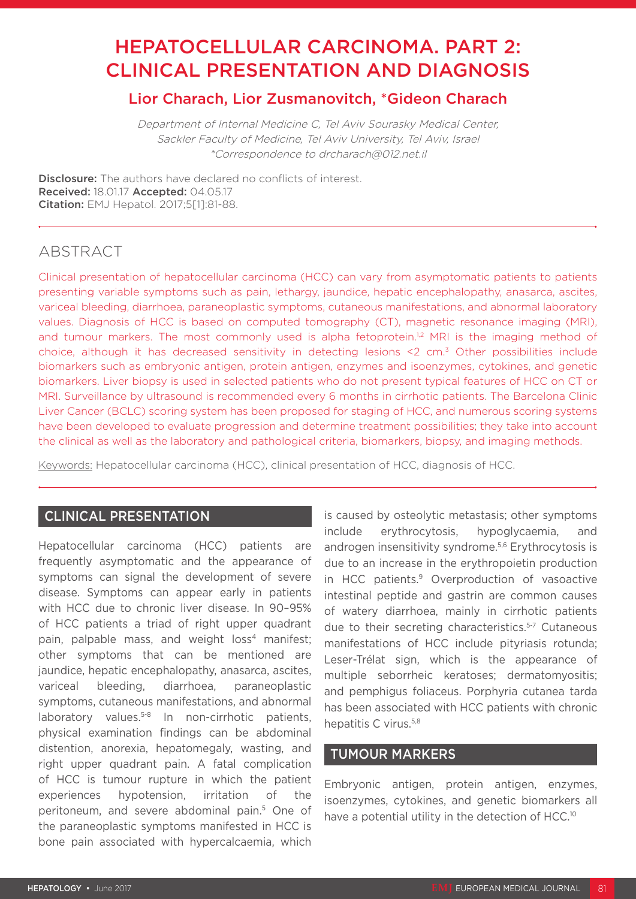# HEPATOCELLULAR CARCINOMA. PART 2: CLINICAL PRESENTATION AND DIAGNOSIS

# Lior Charach, Lior Zusmanovitch, \*Gideon Charach

Department of Internal Medicine C, Tel Aviv Sourasky Medical Center, Sackler Faculty of Medicine, Tel Aviv University, Tel Aviv, Israel \*Correspondence to drcharach@012.net.il

**Disclosure:** The authors have declared no conflicts of interest. Received: 18.01.17 Accepted: 04.05.17 Citation: EMJ Hepatol. 2017;5[1]:81-88.

# ABSTRACT

Clinical presentation of hepatocellular carcinoma (HCC) can vary from asymptomatic patients to patients presenting variable symptoms such as pain, lethargy, jaundice, hepatic encephalopathy, anasarca, ascites, variceal bleeding, diarrhoea, paraneoplastic symptoms, cutaneous manifestations, and abnormal laboratory values. Diagnosis of HCC is based on computed tomography (CT), magnetic resonance imaging (MRI), and tumour markers. The most commonly used is alpha fetoprotein.<sup>1,2</sup> MRI is the imaging method of choice, although it has decreased sensitivity in detecting lesions <2 cm.3 Other possibilities include biomarkers such as embryonic antigen, protein antigen, enzymes and isoenzymes, cytokines, and genetic biomarkers. Liver biopsy is used in selected patients who do not present typical features of HCC on CT or MRI. Surveillance by ultrasound is recommended every 6 months in cirrhotic patients. The Barcelona Clinic Liver Cancer (BCLC) scoring system has been proposed for staging of HCC, and numerous scoring systems have been developed to evaluate progression and determine treatment possibilities; they take into account the clinical as well as the laboratory and pathological criteria, biomarkers, biopsy, and imaging methods.

Keywords: Hepatocellular carcinoma (HCC), clinical presentation of HCC, diagnosis of HCC.

# CLINICAL PRESENTATION

Hepatocellular carcinoma (HCC) patients are frequently asymptomatic and the appearance of symptoms can signal the development of severe disease. Symptoms can appear early in patients with HCC due to chronic liver disease. In 90–95% of HCC patients a triad of right upper quadrant pain, palpable mass, and weight loss<sup>4</sup> manifest; other symptoms that can be mentioned are jaundice, hepatic encephalopathy, anasarca, ascites, variceal bleeding, diarrhoea, paraneoplastic symptoms, cutaneous manifestations, and abnormal laboratory values.<sup>5-8</sup> In non-cirrhotic patients, physical examination findings can be abdominal distention, anorexia, hepatomegaly, wasting, and right upper quadrant pain. A fatal complication of HCC is tumour rupture in which the patient experiences hypotension, irritation of the peritoneum, and severe abdominal pain.5 One of the paraneoplastic symptoms manifested in HCC is bone pain associated with hypercalcaemia, which

is caused by osteolytic metastasis; other symptoms include erythrocytosis, hypoglycaemia, and androgen insensitivity syndrome.5,6 Erythrocytosis is due to an increase in the erythropoietin production in HCC patients.9 Overproduction of vasoactive intestinal peptide and gastrin are common causes of watery diarrhoea, mainly in cirrhotic patients due to their secreting characteristics.<sup>5-7</sup> Cutaneous manifestations of HCC include pityriasis rotunda; Leser-Trélat sign, which is the appearance of multiple seborrheic keratoses; dermatomyositis; and pemphigus foliaceus. Porphyria cutanea tarda has been associated with HCC patients with chronic hepatitis C virus.5,8

# TUMOUR MARKERS

Embryonic antigen, protein antigen, enzymes, isoenzymes, cytokines, and genetic biomarkers all have a potential utility in the detection of HCC.<sup>10</sup>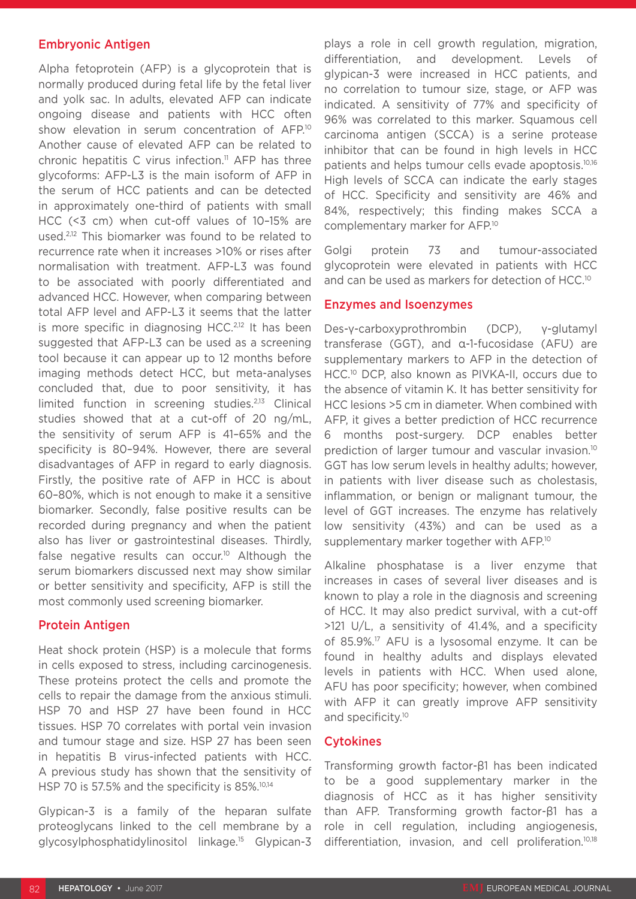#### Embryonic Antigen

Alpha fetoprotein (AFP) is a glycoprotein that is normally produced during fetal life by the fetal liver and yolk sac. In adults, elevated AFP can indicate ongoing disease and patients with HCC often show elevation in serum concentration of AFP.<sup>10</sup> Another cause of elevated AFP can be related to chronic hepatitis C virus infection.<sup>11</sup> AFP has three glycoforms: AFP-L3 is the main isoform of AFP in the serum of HCC patients and can be detected in approximately one-third of patients with small HCC (<3 cm) when cut-off values of 10–15% are used.2,12 This biomarker was found to be related to recurrence rate when it increases >10% or rises after normalisation with treatment. AFP-L3 was found to be associated with poorly differentiated and advanced HCC. However, when comparing between total AFP level and AFP-L3 it seems that the latter is more specific in diagnosing HCC.<sup>2,12</sup> It has been suggested that AFP-L3 can be used as a screening tool because it can appear up to 12 months before imaging methods detect HCC, but meta-analyses concluded that, due to poor sensitivity, it has limited function in screening studies.2,13 Clinical studies showed that at a cut-off of 20 ng/mL, the sensitivity of serum AFP is 41–65% and the specificity is 80–94%. However, there are several disadvantages of AFP in regard to early diagnosis. Firstly, the positive rate of AFP in HCC is about 60–80%, which is not enough to make it a sensitive biomarker. Secondly, false positive results can be recorded during pregnancy and when the patient also has liver or gastrointestinal diseases. Thirdly, false negative results can occur.<sup>10</sup> Although the serum biomarkers discussed next may show similar or better sensitivity and specificity, AFP is still the most commonly used screening biomarker.

#### Protein Antigen

Heat shock protein (HSP) is a molecule that forms in cells exposed to stress, including carcinogenesis. These proteins protect the cells and promote the cells to repair the damage from the anxious stimuli. HSP 70 and HSP 27 have been found in HCC tissues. HSP 70 correlates with portal vein invasion and tumour stage and size. HSP 27 has been seen in hepatitis B virus-infected patients with HCC. A previous study has shown that the sensitivity of HSP 70 is 57.5% and the specificity is 85%.<sup>10,14</sup>

Glypican-3 is a family of the heparan sulfate proteoglycans linked to the cell membrane by a glycosylphosphatidylinositol linkage.15 Glypican-3

plays a role in cell growth regulation, migration, differentiation, and development. Levels of glypican-3 were increased in HCC patients, and no correlation to tumour size, stage, or AFP was indicated. A sensitivity of 77% and specificity of 96% was correlated to this marker. Squamous cell carcinoma antigen (SCCA) is a serine protease inhibitor that can be found in high levels in HCC patients and helps tumour cells evade apoptosis.10,16 High levels of SCCA can indicate the early stages of HCC. Specificity and sensitivity are 46% and 84%, respectively; this finding makes SCCA a complementary marker for AFP.10

Golgi protein 73 and tumour-associated glycoprotein were elevated in patients with HCC and can be used as markers for detection of HCC.<sup>10</sup>

#### Enzymes and Isoenzymes

Des-γ-carboxyprothrombin (DCP), γ-glutamyl transferase (GGT), and α-1-fucosidase (AFU) are supplementary markers to AFP in the detection of HCC.10 DCP, also known as PIVKA-II, occurs due to the absence of vitamin K. It has better sensitivity for HCC lesions >5 cm in diameter. When combined with AFP, it gives a better prediction of HCC recurrence 6 months post-surgery. DCP enables better prediction of larger tumour and vascular invasion.10 GGT has low serum levels in healthy adults; however, in patients with liver disease such as cholestasis, inflammation, or benign or malignant tumour, the level of GGT increases. The enzyme has relatively low sensitivity (43%) and can be used as a supplementary marker together with AFP.<sup>10</sup>

Alkaline phosphatase is a liver enzyme that increases in cases of several liver diseases and is known to play a role in the diagnosis and screening of HCC. It may also predict survival, with a cut-off >121 U/L, a sensitivity of 41.4%, and a specificity of 85.9%.17 AFU is a lysosomal enzyme. It can be found in healthy adults and displays elevated levels in patients with HCC. When used alone, AFU has poor specificity; however, when combined with AFP it can greatly improve AFP sensitivity and specificity.<sup>10</sup>

#### **Cytokines**

Transforming growth factor-β1 has been indicated to be a good supplementary marker in the diagnosis of HCC as it has higher sensitivity than AFP. Transforming growth factor-β1 has a role in cell regulation, including angiogenesis, differentiation, invasion, and cell proliferation.<sup>10,18</sup>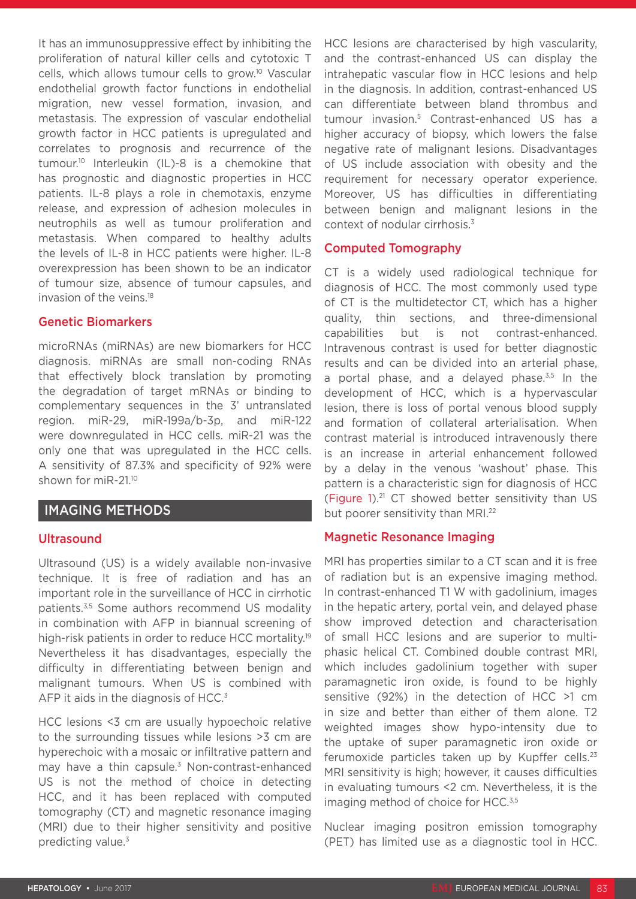It has an immunosuppressive effect by inhibiting the proliferation of natural killer cells and cytotoxic T cells, which allows tumour cells to grow.10 Vascular endothelial growth factor functions in endothelial migration, new vessel formation, invasion, and metastasis. The expression of vascular endothelial growth factor in HCC patients is upregulated and correlates to prognosis and recurrence of the tumour.10 Interleukin (IL)-8 is a chemokine that has prognostic and diagnostic properties in HCC patients. IL-8 plays a role in chemotaxis, enzyme release, and expression of adhesion molecules in neutrophils as well as tumour proliferation and metastasis. When compared to healthy adults the levels of IL-8 in HCC patients were higher. IL-8 overexpression has been shown to be an indicator of tumour size, absence of tumour capsules, and invasion of the veins.18

# Genetic Biomarkers

microRNAs (miRNAs) are new biomarkers for HCC diagnosis. miRNAs are small non-coding RNAs that effectively block translation by promoting the degradation of target mRNAs or binding to complementary sequences in the 3' untranslated region. miR-29, miR-199a/b-3p, and miR-122 were downregulated in HCC cells. miR-21 was the only one that was upregulated in the HCC cells. A sensitivity of 87.3% and specificity of 92% were shown for miR-21.10

# IMAGING METHODS

#### **Ultrasound**

Ultrasound (US) is a widely available non-invasive technique. It is free of radiation and has an important role in the surveillance of HCC in cirrhotic patients.3,5 Some authors recommend US modality in combination with AFP in biannual screening of high-risk patients in order to reduce HCC mortality.<sup>19</sup> Nevertheless it has disadvantages, especially the difficulty in differentiating between benign and malignant tumours. When US is combined with AFP it aids in the diagnosis of HCC.<sup>3</sup>

HCC lesions <3 cm are usually hypoechoic relative to the surrounding tissues while lesions >3 cm are hyperechoic with a mosaic or infiltrative pattern and may have a thin capsule.<sup>3</sup> Non-contrast-enhanced US is not the method of choice in detecting HCC, and it has been replaced with computed tomography (CT) and magnetic resonance imaging (MRI) due to their higher sensitivity and positive predicting value.3

HCC lesions are characterised by high vascularity, and the contrast-enhanced US can display the intrahepatic vascular flow in HCC lesions and help in the diagnosis. In addition, contrast-enhanced US can differentiate between bland thrombus and tumour invasion.5 Contrast-enhanced US has a higher accuracy of biopsy, which lowers the false negative rate of malignant lesions. Disadvantages of US include association with obesity and the requirement for necessary operator experience. Moreover, US has difficulties in differentiating between benign and malignant lesions in the context of nodular cirrhosis.<sup>3</sup>

#### Computed Tomography

CT is a widely used radiological technique for diagnosis of HCC. The most commonly used type of CT is the multidetector CT, which has a higher quality, thin sections, and three-dimensional capabilities but is not contrast-enhanced. Intravenous contrast is used for better diagnostic results and can be divided into an arterial phase, a portal phase, and a delayed phase. $3,5$  In the development of HCC, which is a hypervascular lesion, there is loss of portal venous blood supply and formation of collateral arterialisation. When contrast material is introduced intravenously there is an increase in arterial enhancement followed by a delay in the venous 'washout' phase. This pattern is a characteristic sign for diagnosis of HCC (Figure 1).21 CT showed better sensitivity than US but poorer sensitivity than MRI.<sup>22</sup>

# Magnetic Resonance Imaging

MRI has properties similar to a CT scan and it is free of radiation but is an expensive imaging method. In contrast-enhanced T1 W with gadolinium, images in the hepatic artery, portal vein, and delayed phase show improved detection and characterisation of small HCC lesions and are superior to multiphasic helical CT. Combined double contrast MRI, which includes gadolinium together with super paramagnetic iron oxide, is found to be highly sensitive (92%) in the detection of HCC >1 cm in size and better than either of them alone. T2 weighted images show hypo-intensity due to the uptake of super paramagnetic iron oxide or ferumoxide particles taken up by Kupffer cells. $23$ MRI sensitivity is high; however, it causes difficulties in evaluating tumours <2 cm. Nevertheless, it is the imaging method of choice for HCC.<sup>3,5</sup>

Nuclear imaging positron emission tomography (PET) has limited use as a diagnostic tool in HCC.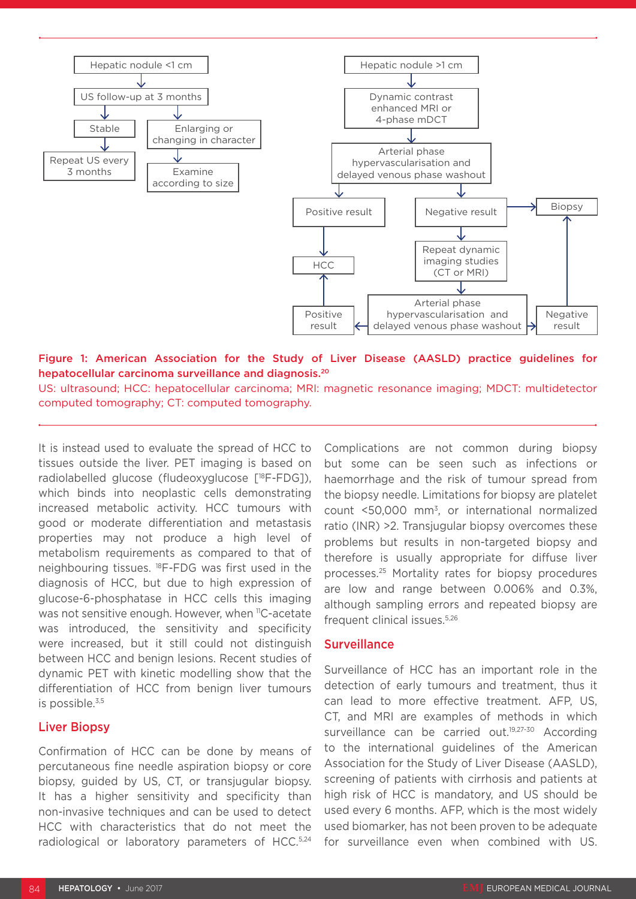

Figure 1: American Association for the Study of Liver Disease (AASLD) practice guidelines for hepatocellular carcinoma surveillance and diagnosis.20

US: ultrasound; HCC: hepatocellular carcinoma; MRI: magnetic resonance imaging; MDCT: multidetector computed tomography; CT: computed tomography.

It is instead used to evaluate the spread of HCC to tissues outside the liver. PET imaging is based on radiolabelled glucose (fludeoxyglucose [18F-FDG]), which binds into neoplastic cells demonstrating increased metabolic activity. HCC tumours with good or moderate differentiation and metastasis properties may not produce a high level of metabolism requirements as compared to that of neighbouring tissues. 18F-FDG was first used in the diagnosis of HCC, but due to high expression of glucose-6-phosphatase in HCC cells this imaging was not sensitive enough. However, when 11C-acetate was introduced, the sensitivity and specificity were increased, but it still could not distinguish between HCC and benign lesions. Recent studies of dynamic PET with kinetic modelling show that the differentiation of HCC from benign liver tumours is possible.3,5

#### Liver Biopsy

Confirmation of HCC can be done by means of percutaneous fine needle aspiration biopsy or core biopsy, guided by US, CT, or transjugular biopsy. It has a higher sensitivity and specificity than non-invasive techniques and can be used to detect HCC with characteristics that do not meet the radiological or laboratory parameters of HCC.5,24 Complications are not common during biopsy but some can be seen such as infections or haemorrhage and the risk of tumour spread from the biopsy needle. Limitations for biopsy are platelet count <50,000 mm3, or international normalized ratio (INR) >2. Transjugular biopsy overcomes these problems but results in non-targeted biopsy and therefore is usually appropriate for diffuse liver processes.25 Mortality rates for biopsy procedures are low and range between 0.006% and 0.3%, although sampling errors and repeated biopsy are frequent clinical issues.5,26

#### **Surveillance**

Surveillance of HCC has an important role in the detection of early tumours and treatment, thus it can lead to more effective treatment. AFP, US, CT, and MRI are examples of methods in which surveillance can be carried out.<sup>19,27-30</sup> According to the international guidelines of the American Association for the Study of Liver Disease (AASLD), screening of patients with cirrhosis and patients at high risk of HCC is mandatory, and US should be used every 6 months. AFP, which is the most widely used biomarker, has not been proven to be adequate for surveillance even when combined with US.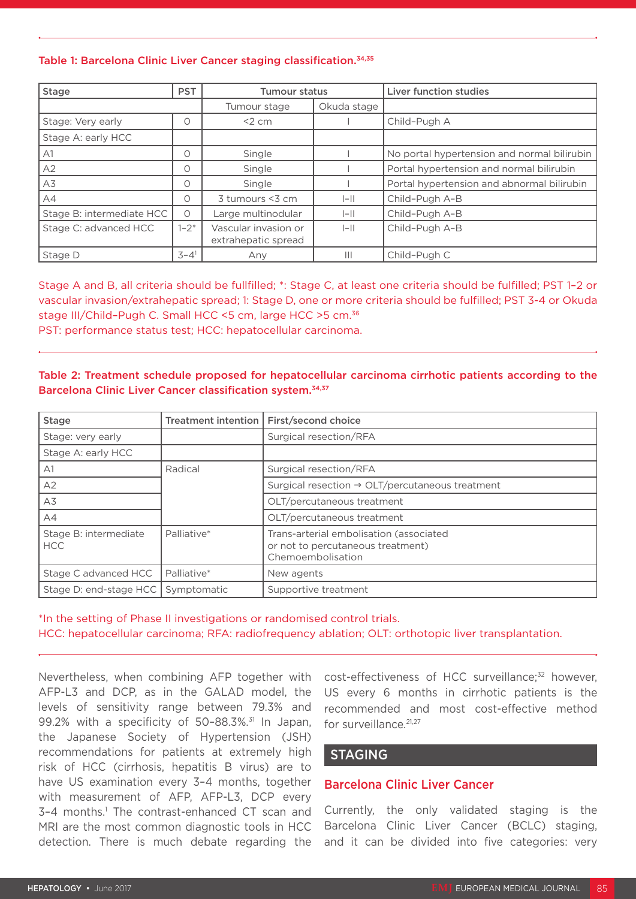#### Table 1: Barcelona Clinic Liver Cancer staging classification.<sup>34,35</sup>

| <b>Stage</b>              | <b>PST</b> | <b>Tumour status</b>                        |              | <b>Liver function studies</b>               |  |
|---------------------------|------------|---------------------------------------------|--------------|---------------------------------------------|--|
|                           |            | Tumour stage                                | Okuda stage  |                                             |  |
| Stage: Very early         | Ω          | $<$ 2 cm                                    |              | Child-Pugh A                                |  |
| Stage A: early HCC        |            |                                             |              |                                             |  |
| A1                        | 0          | Single                                      |              | No portal hypertension and normal bilirubin |  |
| A2                        | 0          | Single                                      |              | Portal hypertension and normal bilirubin    |  |
| A3                        | Ο          | Single                                      |              | Portal hypertension and abnormal bilirubin  |  |
| A4                        | Ο          | 3 tumours <3 cm                             | $ -  $       | Child-Pugh A-B                              |  |
| Stage B: intermediate HCC | $\circ$    | Large multinodular                          | $ -  $       | Child-Pugh A-B                              |  |
| Stage C: advanced HCC     | $1 - 2^*$  | Vascular invasion or<br>extrahepatic spread | $ - $        | Child-Pugh A-B                              |  |
| Stage D                   | $3 - 41$   | Any                                         | $\mathbb{H}$ | Child-Pugh C                                |  |

Stage A and B, all criteria should be fullfilled; \*: Stage C, at least one criteria should be fulfilled; PST 1–2 or vascular invasion/extrahepatic spread; 1: Stage D, one or more criteria should be fulfilled; PST 3-4 or Okuda stage III/Child–Pugh C. Small HCC <5 cm, large HCC >5 cm.36 PST: performance status test; HCC: hepatocellular carcinoma.

#### Table 2: Treatment schedule proposed for hepatocellular carcinoma cirrhotic patients according to the Barcelona Clinic Liver Cancer classification system.34,37

| <b>Stage</b>                        | Treatment intention | First/second choice                                                                               |  |
|-------------------------------------|---------------------|---------------------------------------------------------------------------------------------------|--|
| Stage: very early                   |                     | Surgical resection/RFA                                                                            |  |
| Stage A: early HCC                  |                     |                                                                                                   |  |
| A1                                  | Radical             | Surgical resection/RFA                                                                            |  |
| A2                                  |                     | Surgical resection $\rightarrow$ OLT/percutaneous treatment                                       |  |
| A3                                  |                     | OLT/percutaneous treatment                                                                        |  |
| AA                                  |                     | OLT/percutaneous treatment                                                                        |  |
| Stage B: intermediate<br><b>HCC</b> | Palliative*         | Trans-arterial embolisation (associated<br>or not to percutaneous treatment)<br>Chemoembolisation |  |
| Stage C advanced HCC                | Palliative*         | New agents                                                                                        |  |
| Stage D: end-stage HCC              | Symptomatic         | Supportive treatment                                                                              |  |

\*In the setting of Phase II investigations or randomised control trials. HCC: hepatocellular carcinoma; RFA: radiofrequency ablation; OLT: orthotopic liver transplantation.

Nevertheless, when combining AFP together with AFP-L3 and DCP, as in the GALAD model, the levels of sensitivity range between 79.3% and 99.2% with a specificity of  $50-88.3\%$ .<sup>31</sup> In Japan, the Japanese Society of Hypertension (JSH) recommendations for patients at extremely high risk of HCC (cirrhosis, hepatitis B virus) are to have US examination every 3–4 months, together with measurement of AFP, AFP-L3, DCP every 3-4 months.<sup>1</sup> The contrast-enhanced CT scan and MRI are the most common diagnostic tools in HCC detection. There is much debate regarding the

cost-effectiveness of HCC surveillance;<sup>32</sup> however, US every 6 months in cirrhotic patients is the recommended and most cost-effective method for surveillance.<sup>21,27</sup>

# STAGING

# Barcelona Clinic Liver Cancer

Currently, the only validated staging is the Barcelona Clinic Liver Cancer (BCLC) staging, and it can be divided into five categories: very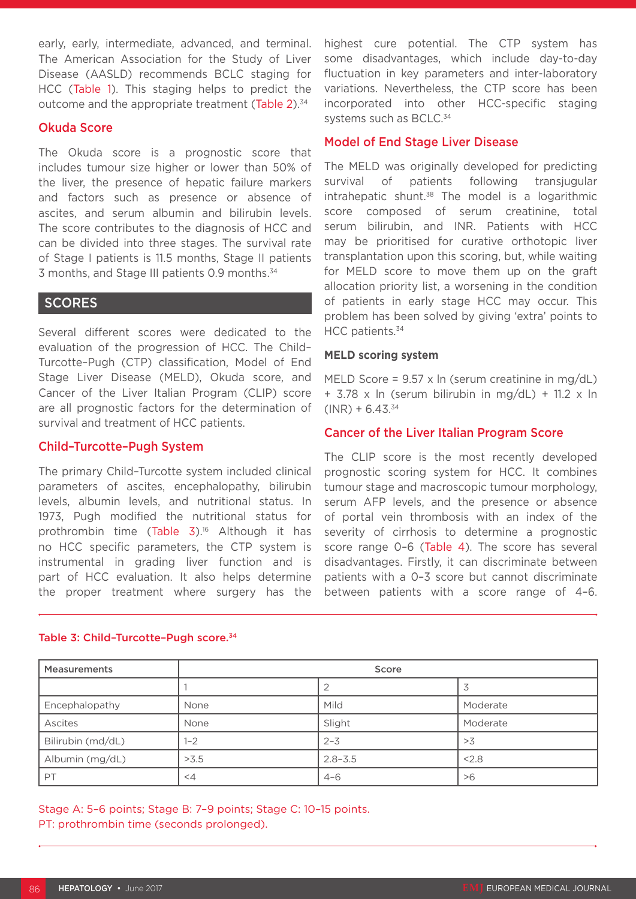early, early, intermediate, advanced, and terminal. The American Association for the Study of Liver Disease (AASLD) recommends BCLC staging for HCC (Table 1). This staging helps to predict the outcome and the appropriate treatment (Table 2).<sup>34</sup>

#### Okuda Score

The Okuda score is a prognostic score that includes tumour size higher or lower than 50% of the liver, the presence of hepatic failure markers and factors such as presence or absence of ascites, and serum albumin and bilirubin levels. The score contributes to the diagnosis of HCC and can be divided into three stages. The survival rate of Stage I patients is 11.5 months, Stage II patients 3 months, and Stage III patients 0.9 months.34

# **SCORES**

Several different scores were dedicated to the evaluation of the progression of HCC. The Child– Turcotte–Pugh (CTP) classification, Model of End Stage Liver Disease (MELD), Okuda score, and Cancer of the Liver Italian Program (CLIP) score are all prognostic factors for the determination of survival and treatment of HCC patients.

#### Child–Turcotte–Pugh System

The primary Child–Turcotte system included clinical parameters of ascites, encephalopathy, bilirubin levels, albumin levels, and nutritional status. In 1973, Pugh modified the nutritional status for prothrombin time (Table 3).16 Although it has no HCC specific parameters, the CTP system is instrumental in grading liver function and is part of HCC evaluation. It also helps determine the proper treatment where surgery has the highest cure potential. The CTP system has some disadvantages, which include day-to-day fluctuation in key parameters and inter-laboratory variations. Nevertheless, the CTP score has been incorporated into other HCC-specific staging systems such as BCLC.<sup>34</sup>

# Model of End Stage Liver Disease

The MELD was originally developed for predicting survival of patients following transjugular intrahepatic shunt. $38$  The model is a logarithmic score composed of serum creatinine, total serum bilirubin, and INR. Patients with HCC may be prioritised for curative orthotopic liver transplantation upon this scoring, but, while waiting for MELD score to move them up on the graft allocation priority list, a worsening in the condition of patients in early stage HCC may occur. This problem has been solved by giving 'extra' points to HCC patients.<sup>34</sup>

#### **MELD scoring system**

MELD Score = 9.57 x ln (serum creatinine in mg/dL) + 3.78 x ln (serum bilirubin in mg/dL) + 11.2 x ln  $(INR) + 6.43^{34}$ 

# Cancer of the Liver Italian Program Score

The CLIP score is the most recently developed prognostic scoring system for HCC. It combines tumour stage and macroscopic tumour morphology, serum AFP levels, and the presence or absence of portal vein thrombosis with an index of the severity of cirrhosis to determine a prognostic score range 0-6 (Table 4). The score has several disadvantages. Firstly, it can discriminate between patients with a 0–3 score but cannot discriminate between patients with a score range of 4–6.

| <b>Measurements</b> | Score    |             |          |  |  |
|---------------------|----------|-------------|----------|--|--|
|                     |          |             |          |  |  |
| Encephalopathy      | None     | Mild        | Moderate |  |  |
| Ascites             | None     | Slight      | Moderate |  |  |
| Bilirubin (md/dL)   | $1 - 2$  | $2 - 3$     | >3       |  |  |
| Albumin (mg/dL)     | >3.5     | $2.8 - 3.5$ | < 2.8    |  |  |
| PT                  | $\leq$ 4 | $4 - 6$     | >6       |  |  |

#### Table 3: Child-Turcotte-Pugh score.<sup>34</sup>

Stage A: 5–6 points; Stage B: 7–9 points; Stage C: 10–15 points. PT: prothrombin time (seconds prolonged).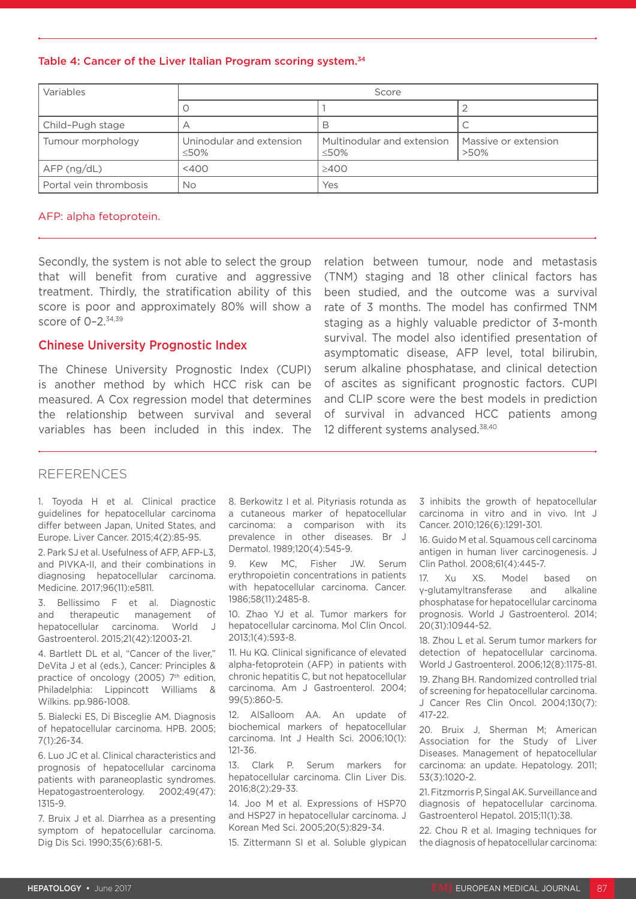#### Table 4: Cancer of the Liver Italian Program scoring system.<sup>34</sup>

| Variables              | Score                            |                                           |                                 |  |  |
|------------------------|----------------------------------|-------------------------------------------|---------------------------------|--|--|
|                        |                                  |                                           |                                 |  |  |
| Child-Pugh stage       |                                  | В                                         |                                 |  |  |
| Tumour morphology      | Uninodular and extension<br><50% | Multinodular and extension<br>$\leq 50\%$ | Massive or extension<br>$>50\%$ |  |  |
| AFP(ng/dL)             | $<$ 400                          | $\geq$ 400                                |                                 |  |  |
| Portal vein thrombosis | <b>No</b>                        | Yes                                       |                                 |  |  |

#### AFP: alpha fetoprotein.

Secondly, the system is not able to select the group that will benefit from curative and aggressive treatment. Thirdly, the stratification ability of this score is poor and approximately 80% will show a score of 0-2.<sup>34,39</sup>

### Chinese University Prognostic Index

The Chinese University Prognostic Index (CUPI) is another method by which HCC risk can be measured. A Cox regression model that determines the relationship between survival and several variables has been included in this index. The

relation between tumour, node and metastasis (TNM) staging and 18 other clinical factors has been studied, and the outcome was a survival rate of 3 months. The model has confirmed TNM staging as a highly valuable predictor of 3-month survival. The model also identified presentation of asymptomatic disease, AFP level, total bilirubin, serum alkaline phosphatase, and clinical detection of ascites as significant prognostic factors. CUPI and CLIP score were the best models in prediction of survival in advanced HCC patients among 12 different systems analysed.<sup>38,40</sup>

#### REFERENCES

1. Toyoda H et al. Clinical practice guidelines for hepatocellular carcinoma differ between Japan, United States, and Europe. Liver Cancer. 2015;4(2):85-95.

2. Park SJ et al. Usefulness of AFP, AFP-L3, and PIVKA-II, and their combinations in diagnosing hepatocellular carcinoma. Medicine. 2017;96(11):e5811.

3. Bellissimo F et al. Diagnostic and therapeutic management of hepatocellular carcinoma. World J Gastroenterol. 2015;21(42):12003-21.

4. Bartlett DL et al, "Cancer of the liver," DeVita J et al (eds.), Cancer: Principles & practice of oncology (2005) 7<sup>th</sup> edition, Philadelphia: Lippincott Williams & Wilkins. pp.986-1008.

5. Bialecki ES, Di Bisceglie AM. Diagnosis of hepatocellular carcinoma. HPB. 2005; 7(1):26-34.

6. Luo JC et al. Clinical characteristics and prognosis of hepatocellular carcinoma patients with paraneoplastic syndromes. Hepatogastroenterology. 2002;49(47): 1315-9.

7. Bruix J et al. Diarrhea as a presenting symptom of hepatocellular carcinoma. Dig Dis Sci. 1990;35(6):681-5.

8. Berkowitz I et al. Pityriasis rotunda as a cutaneous marker of hepatocellular carcinoma: a comparison with its prevalence in other diseases. Br J Dermatol. 1989;120(4):545-9.

9. Kew MC, Fisher JW. Serum erythropoietin concentrations in patients with hepatocellular carcinoma. Cancer. 1986;58(11):2485-8.

10. Zhao YJ et al. Tumor markers for hepatocellular carcinoma. Mol Clin Oncol. 2013;1(4):593-8.

11. Hu KQ. Clinical significance of elevated alpha-fetoprotein (AFP) in patients with chronic hepatitis C, but not hepatocellular carcinoma. Am J Gastroenterol. 2004; 99(5):860-5.

12. AlSalloom AA. An update of biochemical markers of hepatocellular carcinoma. Int J Health Sci. 2006;10(1): 121-36.

13. Clark P. Serum markers for hepatocellular carcinoma. Clin Liver Dis. 2016;8(2):29-33.

14. Joo M et al. Expressions of HSP70 and HSP27 in hepatocellular carcinoma. J Korean Med Sci. 2005;20(5):829-34.

15. Zittermann SI et al. Soluble glypican

3 inhibits the growth of hepatocellular carcinoma in vitro and in vivo. Int J Cancer. 2010;126(6):1291-301.

16. Guido M et al. Squamous cell carcinoma antigen in human liver carcinogenesis. J Clin Pathol. 2008;61(4):445-7.

17. Xu XS. Model based on γ-glutamyltransferase and alkaline phosphatase for hepatocellular carcinoma prognosis. World J Gastroenterol. 2014; 20(31):10944-52.

18. Zhou L et al. Serum tumor markers for detection of hepatocellular carcinoma. World J Gastroenterol. 2006;12(8):1175-81.

19. Zhang BH. Randomized controlled trial of screening for hepatocellular carcinoma. J Cancer Res Clin Oncol. 2004;130(7): 417-22.

20. Bruix J, Sherman M; American Association for the Study of Liver Diseases. Management of hepatocellular carcinoma: an update. Hepatology. 2011; 53(3):1020-2.

21. Fitzmorris P, Singal AK. Surveillance and diagnosis of hepatocellular carcinoma. Gastroenterol Hepatol. 2015;11(1):38.

22. Chou R et al. Imaging techniques for the diagnosis of hepatocellular carcinoma: